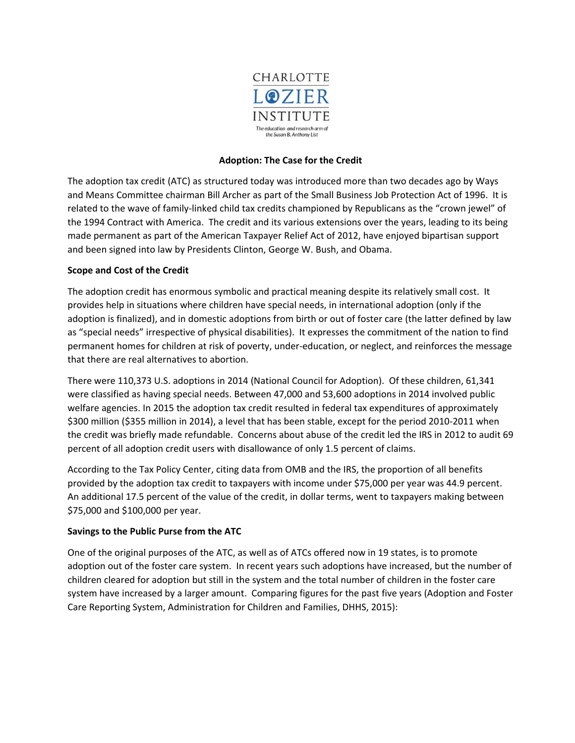

# **Adoption: The Case for the Credit**

The adoption tax credit (ATC) as structured today was introduced more than two decades ago by Ways and Means Committee chairman Bill Archer as part of the Small Business Job Protection Act of 1996. It is related to the wave of family-linked child tax credits championed by Republicans as the "crown jewel" of the 1994 Contract with America. The credit and its various extensions over the years, leading to its being made permanent as part of the American Taxpayer Relief Act of 2012, have enjoyed bipartisan support and been signed into law by Presidents Clinton, George W. Bush, and Obama.

### **Scope and Cost of the Credit**

The adoption credit has enormous symbolic and practical meaning despite its relatively small cost. It provides help in situations where children have special needs, in international adoption (only if the adoption is finalized), and in domestic adoptions from birth or out of foster care (the latter defined by law as "special needs" irrespective of physical disabilities). It expresses the commitment of the nation to find permanent homes for children at risk of poverty, under-education, or neglect, and reinforces the message that there are real alternatives to abortion.

There were 110,373 U.S. adoptions in 2014 (National Council for Adoption). Of these children, 61,341 were classified as having special needs. Between 47,000 and 53,600 adoptions in 2014 involved public welfare agencies. In 2015 the adoption tax credit resulted in federal tax expenditures of approximately \$300 million (\$355 million in 2014), a level that has been stable, except for the period 2010-2011 when the credit was briefly made refundable. Concerns about abuse of the credit led the IRS in 2012 to audit 69 percent of all adoption credit users with disallowance of only 1.5 percent of claims.

According to the Tax Policy Center, citing data from OMB and the IRS, the proportion of all benefits provided by the adoption tax credit to taxpayers with income under \$75,000 per year was 44.9 percent. An additional 17.5 percent of the value of the credit, in dollar terms, went to taxpayers making between \$75,000 and \$100,000 per year.

### **Savings to the Public Purse from the ATC**

One of the original purposes of the ATC, as well as of ATCs offered now in 19 states, is to promote adoption out of the foster care system. In recent years such adoptions have increased, but the number of children cleared for adoption but still in the system and the total number of children in the foster care system have increased by a larger amount. Comparing figures for the past five years (Adoption and Foster Care Reporting System, Administration for Children and Families, DHHS, 2015):